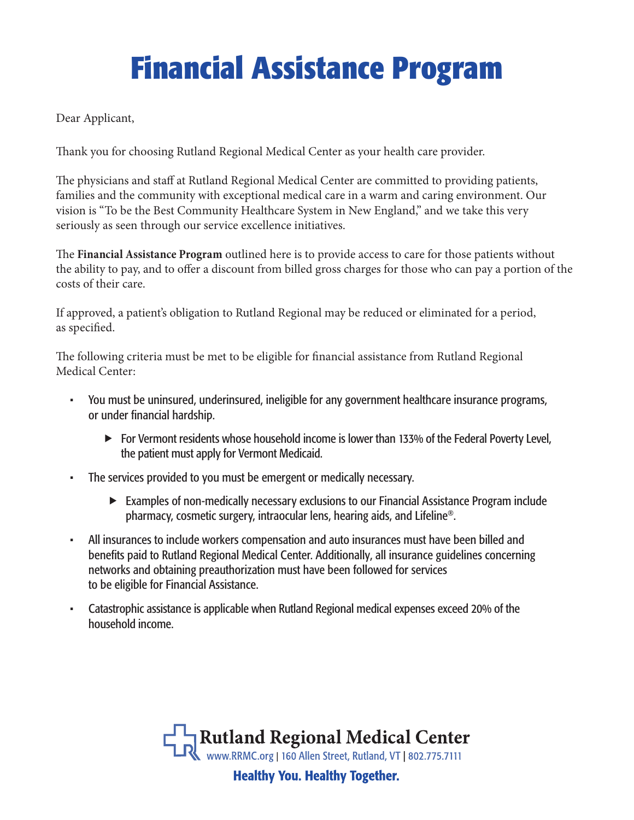# **Financial Assistance Program**

Dear Applicant,

Thank you for choosing Rutland Regional Medical Center as your health care provider.

The physicians and staff at Rutland Regional Medical Center are committed to providing patients, families and the community with exceptional medical care in a warm and caring environment. Our vision is "To be the Best Community Healthcare System in New England," and we take this very seriously as seen through our service excellence initiatives.

The **Financial Assistance Program** outlined here is to provide access to care for those patients without the ability to pay, and to offer a discount from billed gross charges for those who can pay a portion of the costs of their care.

If approved, a patient's obligation to Rutland Regional may be reduced or eliminated for a period, as specified.

The following criteria must be met to be eligible for financial assistance from Rutland Regional Medical Center:

- You must be uninsured, underinsured, ineligible for any government healthcare insurance programs, or under financial hardship.
	- ► For Vermont residents whose household income is lower than 133% of the Federal Poverty Level, the patient must apply for Vermont Medicaid.
- The services provided to you must be emergent or medically necessary.
	- Examples of non-medically necessary exclusions to our Financial Assistance Program include pharmacy, cosmetic surgery, intraocular lens, hearing aids, and Lifeline®.
- All insurances to include workers compensation and auto insurances must have been billed and benefits paid to Rutland Regional Medical Center. Additionally, all insurance guidelines concerning networks and obtaining preauthorization must have been followed for services to be eligible for Financial Assistance.
- Catastrophic assistance is applicable when Rutland Regional medical expenses exceed 20% of the household income.

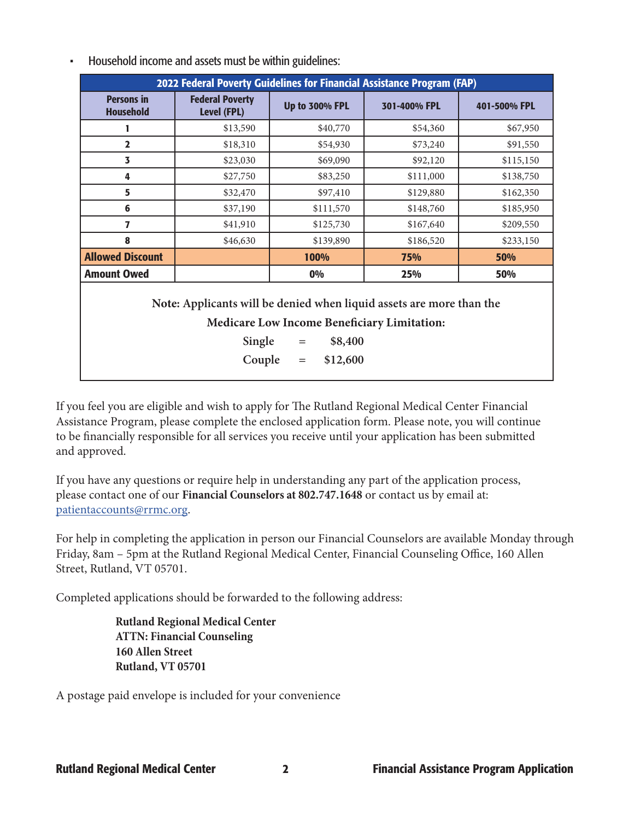| 2022 Federal Poverty Guidelines for Financial Assistance Program (FAP) |                                              |                                                                                                                                                                            |              |              |
|------------------------------------------------------------------------|----------------------------------------------|----------------------------------------------------------------------------------------------------------------------------------------------------------------------------|--------------|--------------|
| <b>Persons in</b><br><b>Household</b>                                  | <b>Federal Poverty</b><br><b>Level (FPL)</b> | <b>Up to 300% FPL</b>                                                                                                                                                      | 301-400% FPL | 401-500% FPL |
| 1                                                                      | \$13,590                                     | \$40,770                                                                                                                                                                   | \$54,360     | \$67,950     |
| $\overline{2}$                                                         | \$18,310                                     | \$54,930                                                                                                                                                                   | \$73,240     | \$91,550     |
| 3                                                                      | \$23,030                                     | \$69,090                                                                                                                                                                   | \$92,120     | \$115,150    |
| 4                                                                      | \$27,750                                     | \$83,250                                                                                                                                                                   | \$111,000    | \$138,750    |
| 5                                                                      | \$32,470                                     | \$97,410                                                                                                                                                                   | \$129,880    | \$162,350    |
| 6                                                                      | \$37,190                                     | \$111,570                                                                                                                                                                  | \$148,760    | \$185,950    |
| 7                                                                      | \$41,910                                     | \$125,730                                                                                                                                                                  | \$167,640    | \$209,550    |
| 8                                                                      | \$46,630                                     | \$139,890                                                                                                                                                                  | \$186,520    | \$233,150    |
| <b>Allowed Discount</b>                                                | 100%<br>75%                                  |                                                                                                                                                                            | 50%          |              |
| <b>Amount Owed</b>                                                     |                                              | 0%                                                                                                                                                                         | 25%          | 50%          |
|                                                                        | Single<br>Couple                             | Note: Applicants will be denied when liquid assets are more than the<br><b>Medicare Low Income Beneficiary Limitation:</b><br>\$8,400<br>$\, = \,$<br>\$12,600<br>$\equiv$ |              |              |

• Household income and assets must be within guidelines:

If you feel you are eligible and wish to apply for The Rutland Regional Medical Center Financial Assistance Program, please complete the enclosed application form. Please note, you will continue to be financially responsible for all services you receive until your application has been submitted and approved.

If you have any questions or require help in understanding any part of the application process, please contact one of our **Financial Counselors at 802.747.1648** or contact us by email at: patientaccounts@rrmc.org.

For help in completing the application in person our Financial Counselors are available Monday through Friday, 8am – 5pm at the Rutland Regional Medical Center, Financial Counseling Office, 160 Allen Street, Rutland, VT 05701.

Completed applications should be forwarded to the following address:

**Rutland Regional Medical Center ATTN: Financial Counseling 160 Allen Street Rutland, VT 05701**

A postage paid envelope is included for your convenience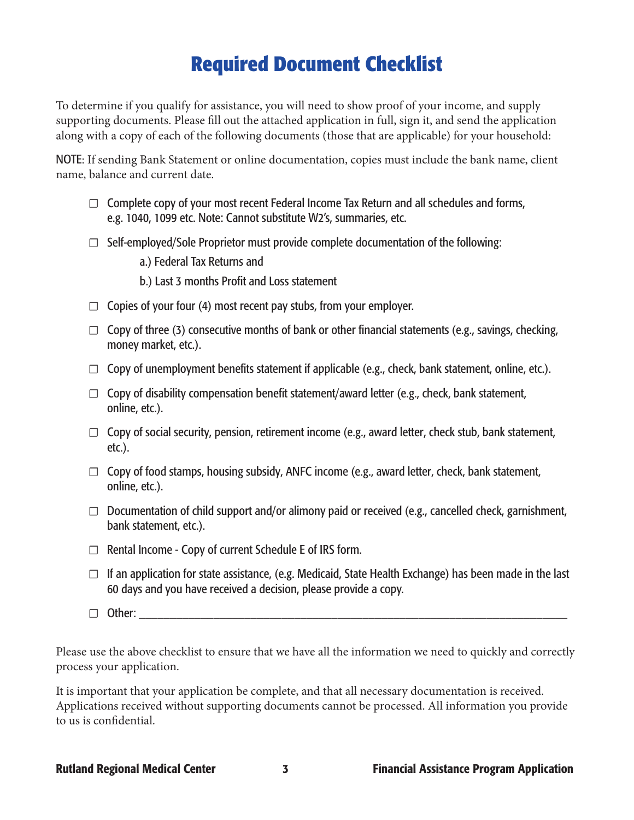### **Required Document Checklist**

To determine if you qualify for assistance, you will need to show proof of your income, and supply supporting documents. Please fill out the attached application in full, sign it, and send the application along with a copy of each of the following documents (those that are applicable) for your household:

NOTE: If sending Bank Statement or online documentation, copies must include the bank name, client name, balance and current date.

- $\Box$  Complete copy of your most recent Federal Income Tax Return and all schedules and forms, e.g. 1040, 1099 etc. Note: Cannot substitute W2's, summaries, etc.
- $\Box$  Self-employed/Sole Proprietor must provide complete documentation of the following:
	- a.) Federal Tax Returns and
	- b.) Last 3 months Profit and Loss statement
- $\Box$  Copies of your four (4) most recent pay stubs, from your employer.
- $\Box$  Copy of three (3) consecutive months of bank or other financial statements (e.g., savings, checking, money market, etc.).
- $\Box$  Copy of unemployment benefits statement if applicable (e.g., check, bank statement, online, etc.).
- $\Box$  Copy of disability compensation benefit statement/award letter (e.g., check, bank statement, online, etc.).
- $\Box$  Copy of social security, pension, retirement income (e.g., award letter, check stub, bank statement, etc.).
- $\Box$  Copy of food stamps, housing subsidy, ANFC income (e.g., award letter, check, bank statement, online, etc.).
- $\Box$  Documentation of child support and/or alimony paid or received (e.g., cancelled check, garnishment, bank statement, etc.).
- ☐ Rental Income Copy of current Schedule E of IRS form.
- $\Box$  If an application for state assistance, (e.g. Medicaid, State Health Exchange) has been made in the last 60 days and you have received a decision, please provide a copy.
- $\Box$  Other:

Please use the above checklist to ensure that we have all the information we need to quickly and correctly process your application.

It is important that your application be complete, and that all necessary documentation is received. Applications received without supporting documents cannot be processed. All information you provide to us is confidential.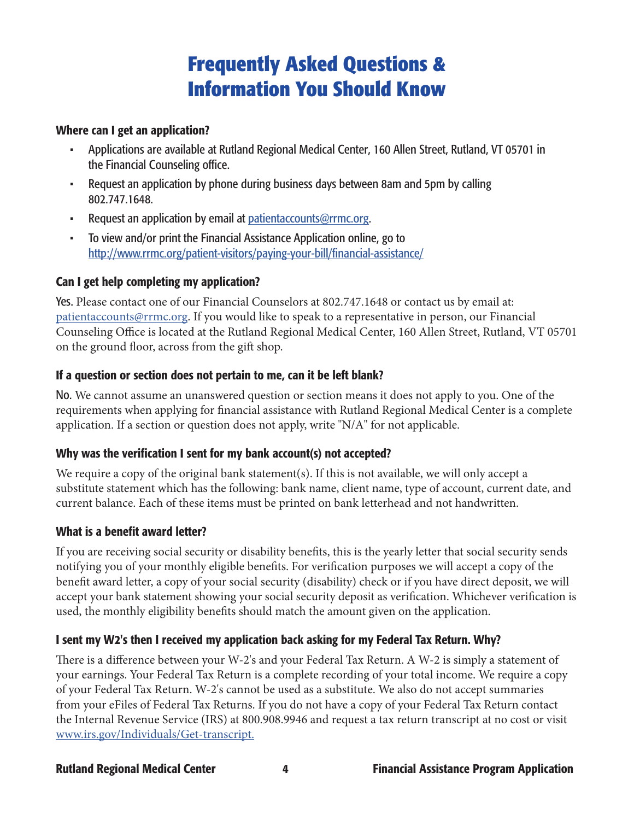## **Frequently Asked Questions & Information You Should Know**

#### Where can I get an application?

- Applications are available at Rutland Regional Medical Center, 160 Allen Street, Rutland, VT 05701 in the Financial Counseling office.
- Request an application by phone during business days between 8am and 5pm by calling 802.747.1648.
- Request an application by email at patientaccounts@rrmc.org.
- To view and/or print the Financial Assistance Application online, go to http://www.rrmc.org/patient-visitors/paying-your-bill/financial-assistance/

### Can I get help completing my application?

Yes. Please contact one of our Financial Counselors at 802.747.1648 or contact us by email at: patientaccounts@rrmc.org. If you would like to speak to a representative in person, our Financial Counseling Office is located at the Rutland Regional Medical Center, 160 Allen Street, Rutland, VT 05701 on the ground floor, across from the gift shop.

### If a question or section does not pertain to me, can it be left blank?

No. We cannot assume an unanswered question or section means it does not apply to you. One of the requirements when applying for financial assistance with Rutland Regional Medical Center is a complete application. If a section or question does not apply, write "N/A" for not applicable.

#### Why was the verification I sent for my bank account(s) not accepted?

We require a copy of the original bank statement(s). If this is not available, we will only accept a substitute statement which has the following: bank name, client name, type of account, current date, and current balance. Each of these items must be printed on bank letterhead and not handwritten.

#### What is a benefit award letter?

If you are receiving social security or disability benefits, this is the yearly letter that social security sends notifying you of your monthly eligible benefits. For verification purposes we will accept a copy of the benefit award letter, a copy of your social security (disability) check or if you have direct deposit, we will accept your bank statement showing your social security deposit as verification. Whichever verification is used, the monthly eligibility benefits should match the amount given on the application.

### I sent my W2's then I received my application back asking for my Federal Tax Return. Why?

There is a difference between your W-2's and your Federal Tax Return. A W-2 is simply a statement of your earnings. Your Federal Tax Return is a complete recording of your total income. We require a copy of your Federal Tax Return. W-2's cannot be used as a substitute. We also do not accept summaries from your eFiles of Federal Tax Returns. If you do not have a copy of your Federal Tax Return contact the Internal Revenue Service (IRS) at 800.908.9946 and request a tax return transcript at no cost or visit www.irs.gov/Individuals/Get-transcript.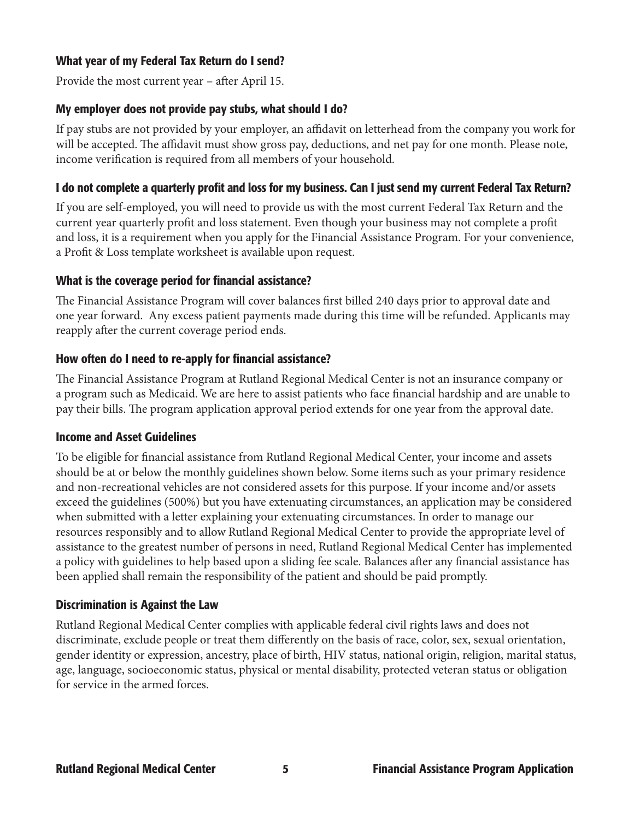#### What year of my Federal Tax Return do I send?

Provide the most current year – after April 15.

#### My employer does not provide pay stubs, what should I do?

If pay stubs are not provided by your employer, an affidavit on letterhead from the company you work for will be accepted. The affidavit must show gross pay, deductions, and net pay for one month. Please note, income verification is required from all members of your household.

#### I do not complete a quarterly profit and loss for my business. Can I just send my current Federal Tax Return?

If you are self-employed, you will need to provide us with the most current Federal Tax Return and the current year quarterly profit and loss statement. Even though your business may not complete a profit and loss, it is a requirement when you apply for the Financial Assistance Program. For your convenience, a Profit & Loss template worksheet is available upon request.

#### What is the coverage period for financial assistance?

The Financial Assistance Program will cover balances first billed 240 days prior to approval date and one year forward. Any excess patient payments made during this time will be refunded. Applicants may reapply after the current coverage period ends.

#### How often do I need to re-apply for financial assistance?

The Financial Assistance Program at Rutland Regional Medical Center is not an insurance company or a program such as Medicaid. We are here to assist patients who face financial hardship and are unable to pay their bills. The program application approval period extends for one year from the approval date.

#### Income and Asset Guidelines

To be eligible for financial assistance from Rutland Regional Medical Center, your income and assets should be at or below the monthly guidelines shown below. Some items such as your primary residence and non-recreational vehicles are not considered assets for this purpose. If your income and/or assets exceed the guidelines (500%) but you have extenuating circumstances, an application may be considered when submitted with a letter explaining your extenuating circumstances. In order to manage our resources responsibly and to allow Rutland Regional Medical Center to provide the appropriate level of assistance to the greatest number of persons in need, Rutland Regional Medical Center has implemented a policy with guidelines to help based upon a sliding fee scale. Balances after any financial assistance has been applied shall remain the responsibility of the patient and should be paid promptly.

#### Discrimination is Against the Law

Rutland Regional Medical Center complies with applicable federal civil rights laws and does not discriminate, exclude people or treat them differently on the basis of race, color, sex, sexual orientation, gender identity or expression, ancestry, place of birth, HIV status, national origin, religion, marital status, age, language, socioeconomic status, physical or mental disability, protected veteran status or obligation for service in the armed forces.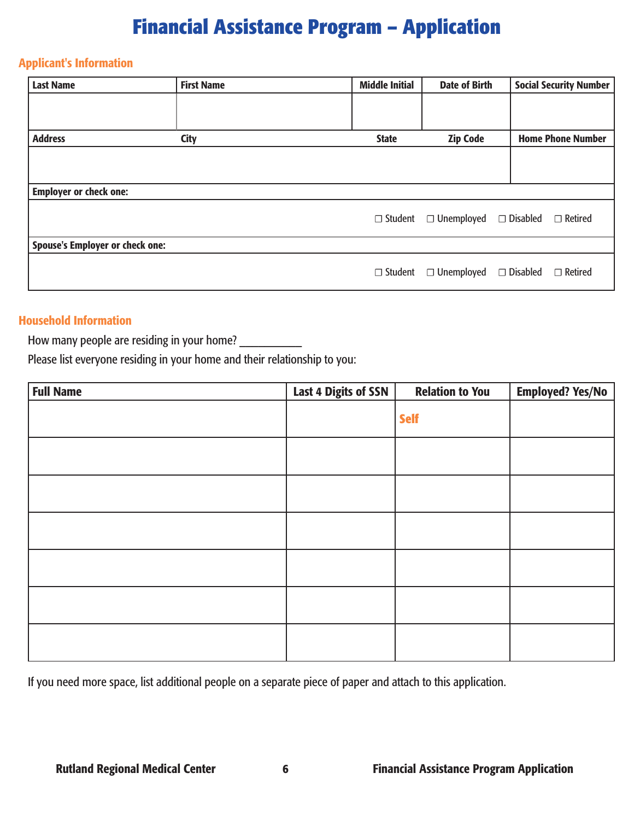# **Financial Assistance Program – Application**

#### Applicant's Information

| <b>Last Name</b>                       | <b>First Name</b> | <b>Middle Initial</b> | <b>Date of Birth</b> | <b>Social Security Number</b>     |
|----------------------------------------|-------------------|-----------------------|----------------------|-----------------------------------|
|                                        |                   |                       |                      |                                   |
|                                        |                   |                       |                      |                                   |
| <b>Address</b>                         | <b>City</b>       | <b>State</b>          | <b>Zip Code</b>      | <b>Home Phone Number</b>          |
|                                        |                   |                       |                      |                                   |
|                                        |                   |                       |                      |                                   |
| <b>Employer or check one:</b>          |                   |                       |                      |                                   |
|                                        |                   | $\Box$ Student        | $\Box$ Unemployed    | $\Box$ Disabled<br>$\Box$ Retired |
| <b>Spouse's Employer or check one:</b> |                   |                       |                      |                                   |
|                                        |                   | $\Box$ Student        | $\Box$ Unemployed    | $\Box$ Retired<br>$\Box$ Disabled |

### Household Information

How many people are residing in your home? \_\_\_\_\_\_\_\_\_\_

Please list everyone residing in your home and their relationship to you:

| <b>Full Name</b> | <b>Last 4 Digits of SSN</b> | <b>Relation to You</b> | <b>Employed? Yes/No</b> |
|------------------|-----------------------------|------------------------|-------------------------|
|                  |                             | <b>Self</b>            |                         |
|                  |                             |                        |                         |
|                  |                             |                        |                         |
|                  |                             |                        |                         |
|                  |                             |                        |                         |
|                  |                             |                        |                         |
|                  |                             |                        |                         |

If you need more space, list additional people on a separate piece of paper and attach to this application.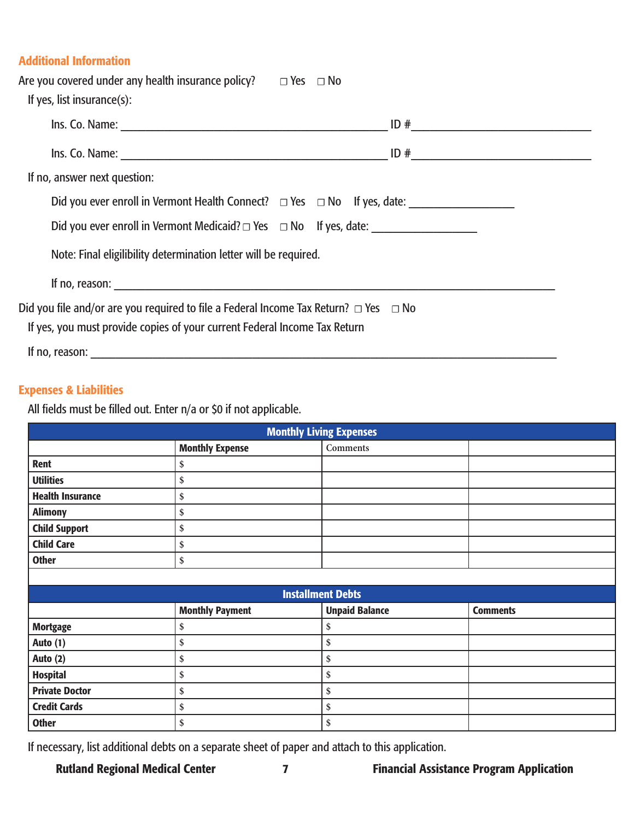### Additional Information

| Are you covered under any health insurance policy? $\Box$ Yes $\Box$ No                                                                                                     |                                                                                                     |  |  |  |
|-----------------------------------------------------------------------------------------------------------------------------------------------------------------------------|-----------------------------------------------------------------------------------------------------|--|--|--|
| If yes, list insurance $(s)$ :                                                                                                                                              |                                                                                                     |  |  |  |
|                                                                                                                                                                             |                                                                                                     |  |  |  |
|                                                                                                                                                                             |                                                                                                     |  |  |  |
| If no, answer next question:                                                                                                                                                |                                                                                                     |  |  |  |
|                                                                                                                                                                             | Did you ever enroll in Vermont Health Connect? □ Yes □ No If yes, date: ___________________________ |  |  |  |
|                                                                                                                                                                             |                                                                                                     |  |  |  |
| Note: Final eligilibility determination letter will be required.                                                                                                            |                                                                                                     |  |  |  |
|                                                                                                                                                                             |                                                                                                     |  |  |  |
| Did you file and/or are you required to file a Federal Income Tax Return? $\Box$ Yes $\Box$ No<br>If yes, you must provide copies of your current Federal Income Tax Return |                                                                                                     |  |  |  |
| If no, reason:                                                                                                                                                              |                                                                                                     |  |  |  |

#### Expenses & Liabilities

All fields must be filled out. Enter n/a or \$0 if not applicable.

| <b>Monthly Living Expenses</b> |                                                                    |                          |  |  |  |  |
|--------------------------------|--------------------------------------------------------------------|--------------------------|--|--|--|--|
|                                | <b>Monthly Expense</b>                                             | <b>Comments</b>          |  |  |  |  |
| Rent                           | \$                                                                 |                          |  |  |  |  |
| <b>Utilities</b>               | \$                                                                 |                          |  |  |  |  |
| <b>Health Insurance</b>        | \$                                                                 |                          |  |  |  |  |
| <b>Alimony</b>                 | \$                                                                 |                          |  |  |  |  |
| <b>Child Support</b>           | \$                                                                 |                          |  |  |  |  |
| <b>Child Care</b>              | \$                                                                 |                          |  |  |  |  |
| <b>Other</b>                   | \$                                                                 |                          |  |  |  |  |
|                                |                                                                    |                          |  |  |  |  |
|                                |                                                                    | <b>Installment Debts</b> |  |  |  |  |
|                                | <b>Unpaid Balance</b><br><b>Monthly Payment</b><br><b>Comments</b> |                          |  |  |  |  |
| <b>Mortgage</b>                | \$                                                                 | \$                       |  |  |  |  |
| Auto (1)                       | \$                                                                 | \$                       |  |  |  |  |
| Auto (2)                       | \$                                                                 | \$                       |  |  |  |  |
| <b>Hospital</b>                | \$                                                                 | \$                       |  |  |  |  |
| <b>Private Doctor</b>          | \$                                                                 | \$                       |  |  |  |  |
| <b>Credit Cards</b>            | \$                                                                 | \$                       |  |  |  |  |
|                                |                                                                    |                          |  |  |  |  |

If necessary, list additional debts on a separate sheet of paper and attach to this application.